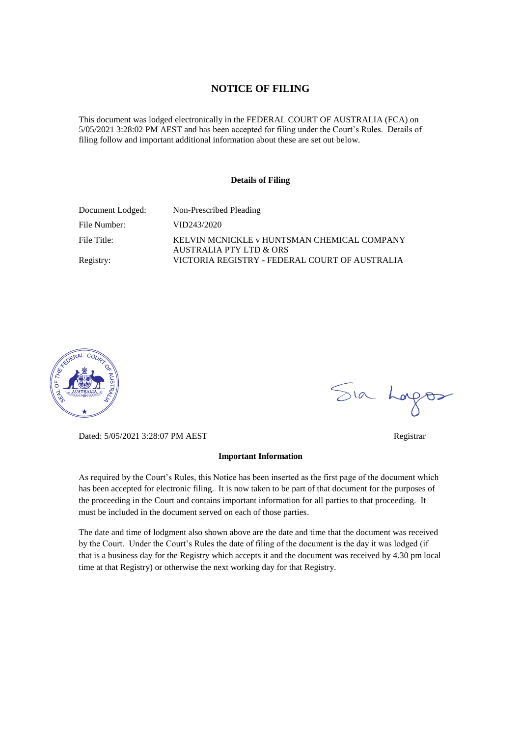#### **NOTICE OF FILING**

This document was lodged electronically in the FEDERAL COURT OF AUSTRALIA (FCA) on 5/05/2021 3:28:02 PM AEST and has been accepted for filing under the Court's Rules. Details of filing follow and important additional information about these are set out below.

#### **Details of Filing**

| Document Lodged: | Non-Prescribed Pleading                                                |
|------------------|------------------------------------------------------------------------|
| File Number:     | VID243/2020                                                            |
| File Title:      | KELVIN MCNICKLE v HUNTSMAN CHEMICAL COMPANY<br>AUSTRALIA PTY LTD & ORS |
| Registry:        | VICTORIA REGISTRY - FEDERAL COURT OF AUSTRALIA                         |



Dated: 5/05/2021 3:28:07 PM AEST Registrar

#### **Important Information**

As required by the Court's Rules, this Notice has been inserted as the first page of the document which has been accepted for electronic filing. It is now taken to be part of that document for the purposes of the proceeding in the Court and contains important information for all parties to that proceeding. It must be included in the document served on each of those parties.

The date and time of lodgment also shown above are the date and time that the document was received by the Court. Under the Court's Rules the date of filing of the document is the day it was lodged (if that is a business day for the Registry which accepts it and the document was received by 4.30 pm local time at that Registry) or otherwise the next working day for that Registry.

Sia Logos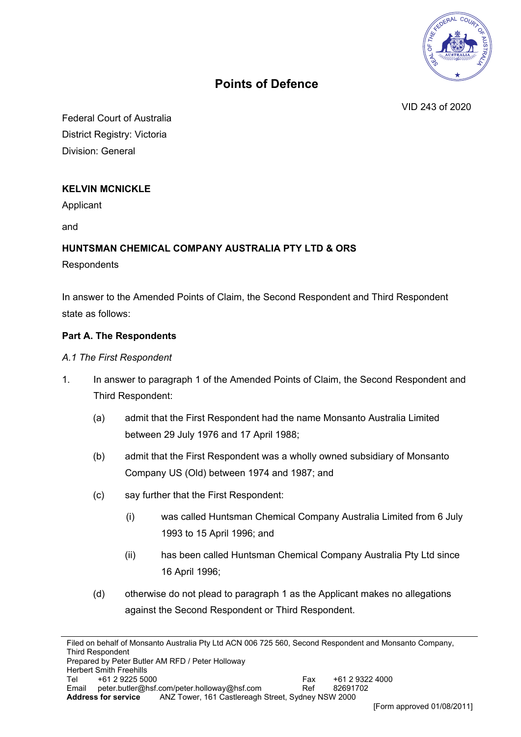

# **Points of Defence**

VID 243 of 2020

Federal Court of Australia District Registry: Victoria Division: General

# **KELVIN MCNICKLE**

Applicant

and

## **HUNTSMAN CHEMICAL COMPANY AUSTRALIA PTY LTD & ORS**

**Respondents** 

In answer to the Amended Points of Claim, the Second Respondent and Third Respondent state as follows:

### **Part A. The Respondents**

### *A.1 The First Respondent*

- 1. In answer to paragraph 1 of the Amended Points of Claim, the Second Respondent and Third Respondent:
	- (a) admit that the First Respondent had the name Monsanto Australia Limited between 29 July 1976 and 17 April 1988;
	- (b) admit that the First Respondent was a wholly owned subsidiary of Monsanto Company US (Old) between 1974 and 1987; and
	- (c) say further that the First Respondent:
		- (i) was called Huntsman Chemical Company Australia Limited from 6 July 1993 to 15 April 1996; and
		- (ii) has been called Huntsman Chemical Company Australia Pty Ltd since 16 April 1996;
	- (d) otherwise do not plead to paragraph 1 as the Applicant makes no allegations against the Second Respondent or Third Respondent.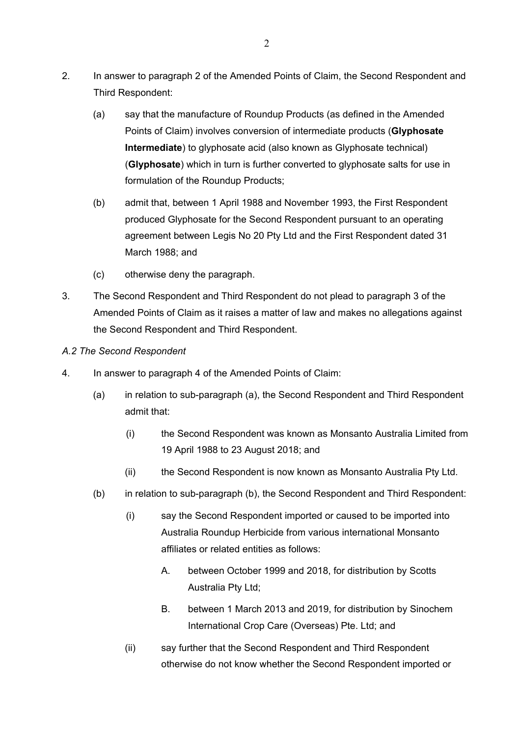- 2. In answer to paragraph 2 of the Amended Points of Claim, the Second Respondent and Third Respondent:
	- (a) say that the manufacture of Roundup Products (as defined in the Amended Points of Claim) involves conversion of intermediate products (**Glyphosate Intermediate**) to glyphosate acid (also known as Glyphosate technical) (**Glyphosate**) which in turn is further converted to glyphosate salts for use in formulation of the Roundup Products;
	- (b) admit that, between 1 April 1988 and November 1993, the First Respondent produced Glyphosate for the Second Respondent pursuant to an operating agreement between Legis No 20 Pty Ltd and the First Respondent dated 31 March 1988; and
	- (c) otherwise deny the paragraph.
- 3. The Second Respondent and Third Respondent do not plead to paragraph 3 of the Amended Points of Claim as it raises a matter of law and makes no allegations against the Second Respondent and Third Respondent.
- *A.2 The Second Respondent*
- 4. In answer to paragraph 4 of the Amended Points of Claim:
	- (a) in relation to sub-paragraph (a), the Second Respondent and Third Respondent admit that:
		- (i) the Second Respondent was known as Monsanto Australia Limited from 19 April 1988 to 23 August 2018; and
		- (ii) the Second Respondent is now known as Monsanto Australia Pty Ltd.
	- (b) in relation to sub-paragraph (b), the Second Respondent and Third Respondent:
		- (i) say the Second Respondent imported or caused to be imported into Australia Roundup Herbicide from various international Monsanto affiliates or related entities as follows:
			- A. between October 1999 and 2018, for distribution by Scotts Australia Pty Ltd;
			- B. between 1 March 2013 and 2019, for distribution by Sinochem International Crop Care (Overseas) Pte. Ltd; and
		- (ii) say further that the Second Respondent and Third Respondent otherwise do not know whether the Second Respondent imported or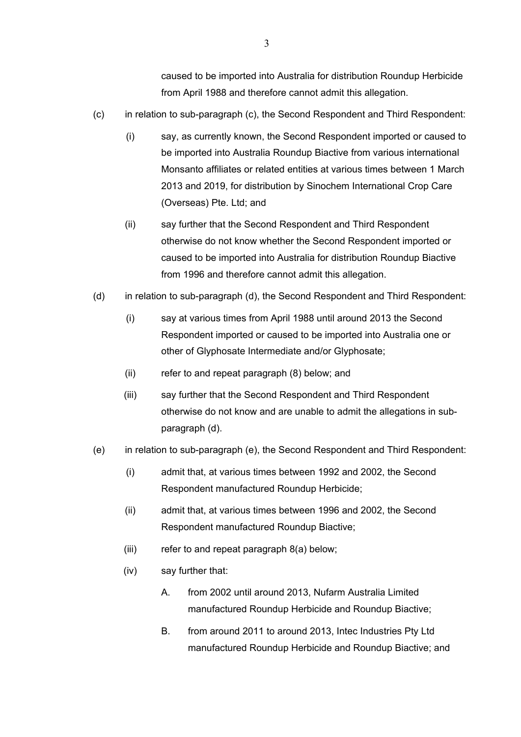caused to be imported into Australia for distribution Roundup Herbicide from April 1988 and therefore cannot admit this allegation.

- (c) in relation to sub-paragraph (c), the Second Respondent and Third Respondent:
	- (i) say, as currently known, the Second Respondent imported or caused to be imported into Australia Roundup Biactive from various international Monsanto affiliates or related entities at various times between 1 March 2013 and 2019, for distribution by Sinochem International Crop Care (Overseas) Pte. Ltd; and
	- (ii) say further that the Second Respondent and Third Respondent otherwise do not know whether the Second Respondent imported or caused to be imported into Australia for distribution Roundup Biactive from 1996 and therefore cannot admit this allegation.
- (d) in relation to sub-paragraph (d), the Second Respondent and Third Respondent:
	- (i) say at various times from April 1988 until around 2013 the Second Respondent imported or caused to be imported into Australia one or other of Glyphosate Intermediate and/or Glyphosate;
	- (ii) refer to and repeat paragraph (8) below; and
	- (iii) say further that the Second Respondent and Third Respondent otherwise do not know and are unable to admit the allegations in subparagraph (d).
- (e) in relation to sub-paragraph (e), the Second Respondent and Third Respondent:
	- (i) admit that, at various times between 1992 and 2002, the Second Respondent manufactured Roundup Herbicide;
	- (ii) admit that, at various times between 1996 and 2002, the Second Respondent manufactured Roundup Biactive;
	- (iii) refer to and repeat paragraph 8(a) below;
	- (iv) say further that:
		- A. from 2002 until around 2013, Nufarm Australia Limited manufactured Roundup Herbicide and Roundup Biactive;
		- B. from around 2011 to around 2013, Intec Industries Pty Ltd manufactured Roundup Herbicide and Roundup Biactive; and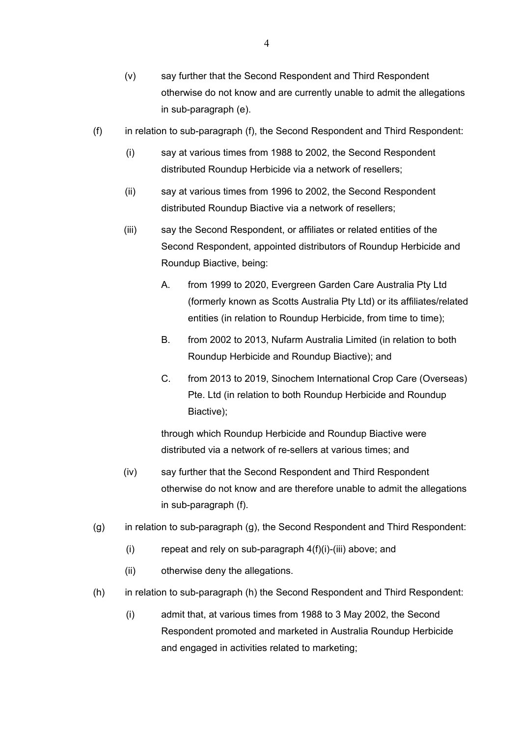- (v) say further that the Second Respondent and Third Respondent otherwise do not know and are currently unable to admit the allegations in sub-paragraph (e).
- (f) in relation to sub-paragraph (f), the Second Respondent and Third Respondent:
	- (i) say at various times from 1988 to 2002, the Second Respondent distributed Roundup Herbicide via a network of resellers;
	- (ii) say at various times from 1996 to 2002, the Second Respondent distributed Roundup Biactive via a network of resellers;
	- (iii) say the Second Respondent, or affiliates or related entities of the Second Respondent, appointed distributors of Roundup Herbicide and Roundup Biactive, being:
		- A. from 1999 to 2020, Evergreen Garden Care Australia Pty Ltd (formerly known as Scotts Australia Pty Ltd) or its affiliates/related entities (in relation to Roundup Herbicide, from time to time);
		- B. from 2002 to 2013, Nufarm Australia Limited (in relation to both Roundup Herbicide and Roundup Biactive); and
		- C. from 2013 to 2019, Sinochem International Crop Care (Overseas) Pte. Ltd (in relation to both Roundup Herbicide and Roundup Biactive);

through which Roundup Herbicide and Roundup Biactive were distributed via a network of re-sellers at various times; and

- (iv) say further that the Second Respondent and Third Respondent otherwise do not know and are therefore unable to admit the allegations in sub-paragraph (f).
- (g) in relation to sub-paragraph (g), the Second Respondent and Third Respondent:
	- (i) repeat and rely on sub-paragraph  $4(f)(i)$ -(iii) above; and
	- (ii) otherwise deny the allegations.
- (h) in relation to sub-paragraph (h) the Second Respondent and Third Respondent:
	- (i) admit that, at various times from 1988 to 3 May 2002, the Second Respondent promoted and marketed in Australia Roundup Herbicide and engaged in activities related to marketing;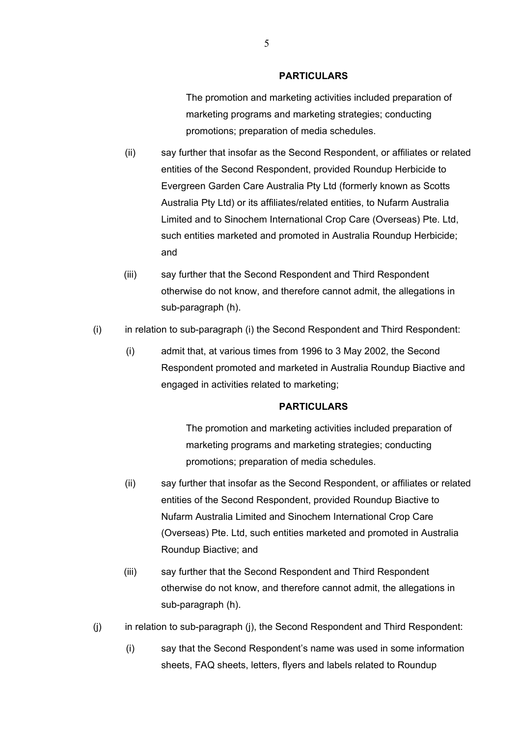The promotion and marketing activities included preparation of marketing programs and marketing strategies; conducting promotions; preparation of media schedules.

- (ii) say further that insofar as the Second Respondent, or affiliates or related entities of the Second Respondent, provided Roundup Herbicide to Evergreen Garden Care Australia Pty Ltd (formerly known as Scotts Australia Pty Ltd) or its affiliates/related entities, to Nufarm Australia Limited and to Sinochem International Crop Care (Overseas) Pte. Ltd, such entities marketed and promoted in Australia Roundup Herbicide; and
- (iii) say further that the Second Respondent and Third Respondent otherwise do not know, and therefore cannot admit, the allegations in sub-paragraph (h).
- (i) in relation to sub-paragraph (i) the Second Respondent and Third Respondent:
	- (i) admit that, at various times from 1996 to 3 May 2002, the Second Respondent promoted and marketed in Australia Roundup Biactive and engaged in activities related to marketing;

#### **PARTICULARS**

The promotion and marketing activities included preparation of marketing programs and marketing strategies; conducting promotions; preparation of media schedules.

- (ii) say further that insofar as the Second Respondent, or affiliates or related entities of the Second Respondent, provided Roundup Biactive to Nufarm Australia Limited and Sinochem International Crop Care (Overseas) Pte. Ltd, such entities marketed and promoted in Australia Roundup Biactive; and
- (iii) say further that the Second Respondent and Third Respondent otherwise do not know, and therefore cannot admit, the allegations in sub-paragraph (h).
- (j) in relation to sub-paragraph (j), the Second Respondent and Third Respondent:
	- (i) say that the Second Respondent's name was used in some information sheets, FAQ sheets, letters, flyers and labels related to Roundup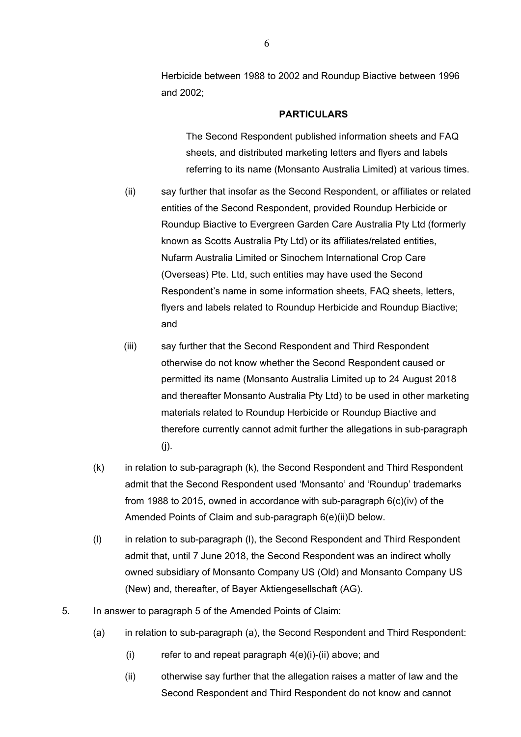Herbicide between 1988 to 2002 and Roundup Biactive between 1996 and 2002;

#### **PARTICULARS**

The Second Respondent published information sheets and FAQ sheets, and distributed marketing letters and flyers and labels referring to its name (Monsanto Australia Limited) at various times.

- (ii) say further that insofar as the Second Respondent, or affiliates or related entities of the Second Respondent, provided Roundup Herbicide or Roundup Biactive to Evergreen Garden Care Australia Pty Ltd (formerly known as Scotts Australia Pty Ltd) or its affiliates/related entities, Nufarm Australia Limited or Sinochem International Crop Care (Overseas) Pte. Ltd, such entities may have used the Second Respondent's name in some information sheets, FAQ sheets, letters, flyers and labels related to Roundup Herbicide and Roundup Biactive; and
- (iii) say further that the Second Respondent and Third Respondent otherwise do not know whether the Second Respondent caused or permitted its name (Monsanto Australia Limited up to 24 August 2018 and thereafter Monsanto Australia Pty Ltd) to be used in other marketing materials related to Roundup Herbicide or Roundup Biactive and therefore currently cannot admit further the allegations in sub-paragraph  $(i)$ .
- (k) in relation to sub-paragraph (k), the Second Respondent and Third Respondent admit that the Second Respondent used 'Monsanto' and 'Roundup' trademarks from 1988 to 2015, owned in accordance with sub-paragraph 6(c)(iv) of the Amended Points of Claim and sub-paragraph 6(e)(ii)D below.
- (l) in relation to sub-paragraph (l), the Second Respondent and Third Respondent admit that, until 7 June 2018, the Second Respondent was an indirect wholly owned subsidiary of Monsanto Company US (Old) and Monsanto Company US (New) and, thereafter, of Bayer Aktiengesellschaft (AG).
- 5. In answer to paragraph 5 of the Amended Points of Claim:
	- (a) in relation to sub-paragraph (a), the Second Respondent and Third Respondent:
		- (i) refer to and repeat paragraph  $4(e)(i)$ -(ii) above; and
		- (ii) otherwise say further that the allegation raises a matter of law and the Second Respondent and Third Respondent do not know and cannot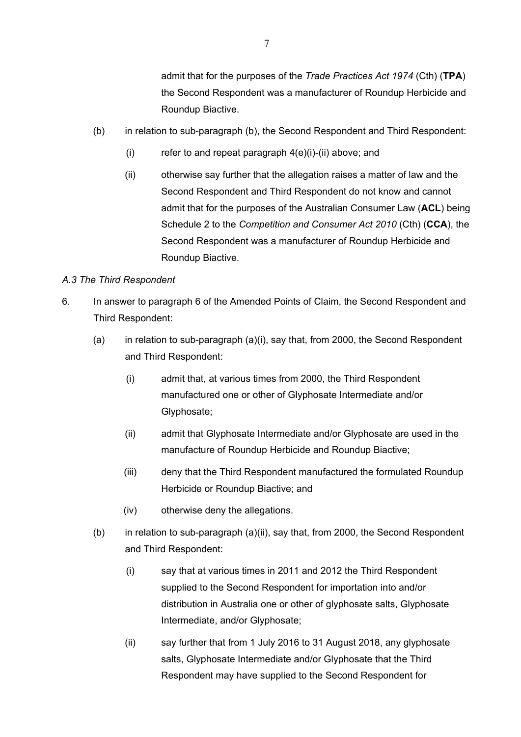admit that for the purposes of the *Trade Practices Act 1974* (Cth) (**TPA**) the Second Respondent was a manufacturer of Roundup Herbicide and Roundup Biactive.

- (b) in relation to sub-paragraph (b), the Second Respondent and Third Respondent:
	- (i) refer to and repeat paragraph  $4(e)(i)$ -(ii) above; and
	- (ii) otherwise say further that the allegation raises a matter of law and the Second Respondent and Third Respondent do not know and cannot admit that for the purposes of the Australian Consumer Law (**ACL**) being Schedule 2 to the *Competition and Consumer Act 2010* (Cth) (**CCA**), the Second Respondent was a manufacturer of Roundup Herbicide and Roundup Biactive.

### *A.3 The Third Respondent*

- 6. In answer to paragraph 6 of the Amended Points of Claim, the Second Respondent and Third Respondent:
	- (a) in relation to sub-paragraph (a)(i), say that, from 2000, the Second Respondent and Third Respondent:
		- (i) admit that, at various times from 2000, the Third Respondent manufactured one or other of Glyphosate Intermediate and/or Glyphosate;
		- (ii) admit that Glyphosate Intermediate and/or Glyphosate are used in the manufacture of Roundup Herbicide and Roundup Biactive;
		- (iii) deny that the Third Respondent manufactured the formulated Roundup Herbicide or Roundup Biactive; and
		- (iv) otherwise deny the allegations.
	- (b) in relation to sub-paragraph (a)(ii), say that, from 2000, the Second Respondent and Third Respondent:
		- (i) say that at various times in 2011 and 2012 the Third Respondent supplied to the Second Respondent for importation into and/or distribution in Australia one or other of glyphosate salts, Glyphosate Intermediate, and/or Glyphosate;
		- (ii) say further that from 1 July 2016 to 31 August 2018, any glyphosate salts, Glyphosate Intermediate and/or Glyphosate that the Third Respondent may have supplied to the Second Respondent for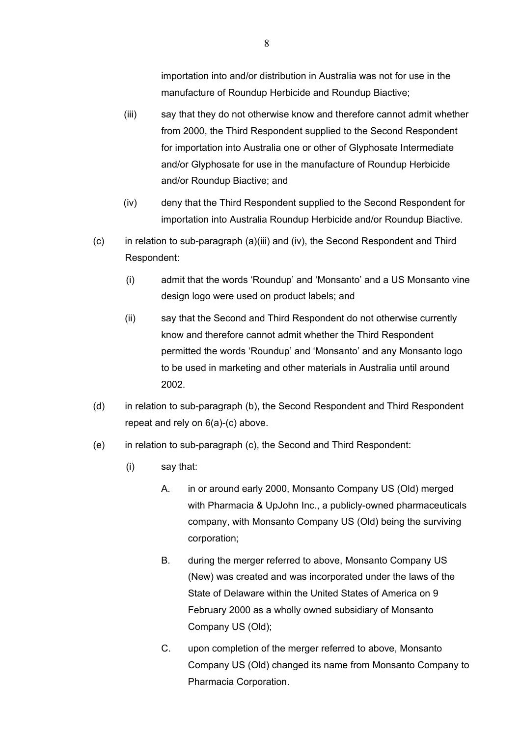importation into and/or distribution in Australia was not for use in the manufacture of Roundup Herbicide and Roundup Biactive;

- (iii) say that they do not otherwise know and therefore cannot admit whether from 2000, the Third Respondent supplied to the Second Respondent for importation into Australia one or other of Glyphosate Intermediate and/or Glyphosate for use in the manufacture of Roundup Herbicide and/or Roundup Biactive; and
- (iv) deny that the Third Respondent supplied to the Second Respondent for importation into Australia Roundup Herbicide and/or Roundup Biactive.
- (c) in relation to sub-paragraph (a)(iii) and (iv), the Second Respondent and Third Respondent:
	- (i) admit that the words 'Roundup' and 'Monsanto' and a US Monsanto vine design logo were used on product labels; and
	- (ii) say that the Second and Third Respondent do not otherwise currently know and therefore cannot admit whether the Third Respondent permitted the words 'Roundup' and 'Monsanto' and any Monsanto logo to be used in marketing and other materials in Australia until around 2002.
- (d) in relation to sub-paragraph (b), the Second Respondent and Third Respondent repeat and rely on 6(a)-(c) above.
- (e) in relation to sub-paragraph (c), the Second and Third Respondent:
	- (i) say that:
		- A. in or around early 2000, Monsanto Company US (Old) merged with Pharmacia & UpJohn Inc., a publicly-owned pharmaceuticals company, with Monsanto Company US (Old) being the surviving corporation;
		- B. during the merger referred to above, Monsanto Company US (New) was created and was incorporated under the laws of the State of Delaware within the United States of America on 9 February 2000 as a wholly owned subsidiary of Monsanto Company US (Old);
		- C. upon completion of the merger referred to above, Monsanto Company US (Old) changed its name from Monsanto Company to Pharmacia Corporation.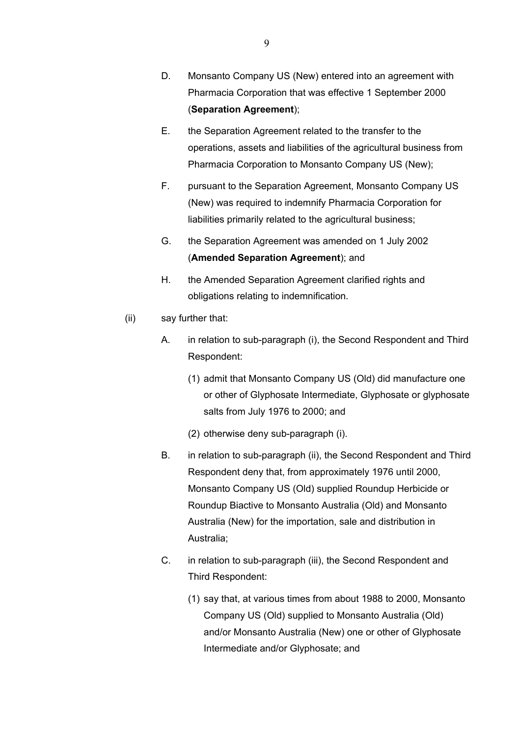- D. Monsanto Company US (New) entered into an agreement with Pharmacia Corporation that was effective 1 September 2000 (**Separation Agreement**);
- E. the Separation Agreement related to the transfer to the operations, assets and liabilities of the agricultural business from Pharmacia Corporation to Monsanto Company US (New);
- F. pursuant to the Separation Agreement, Monsanto Company US (New) was required to indemnify Pharmacia Corporation for liabilities primarily related to the agricultural business;
- G. the Separation Agreement was amended on 1 July 2002 (**Amended Separation Agreement**); and
- H. the Amended Separation Agreement clarified rights and obligations relating to indemnification.
- (ii) say further that:
	- A. in relation to sub-paragraph (i), the Second Respondent and Third Respondent:
		- (1) admit that Monsanto Company US (Old) did manufacture one or other of Glyphosate Intermediate, Glyphosate or glyphosate salts from July 1976 to 2000; and
		- (2) otherwise deny sub-paragraph (i).
	- B. in relation to sub-paragraph (ii), the Second Respondent and Third Respondent deny that, from approximately 1976 until 2000, Monsanto Company US (Old) supplied Roundup Herbicide or Roundup Biactive to Monsanto Australia (Old) and Monsanto Australia (New) for the importation, sale and distribution in Australia;
	- C. in relation to sub-paragraph (iii), the Second Respondent and Third Respondent:
		- (1) say that, at various times from about 1988 to 2000, Monsanto Company US (Old) supplied to Monsanto Australia (Old) and/or Monsanto Australia (New) one or other of Glyphosate Intermediate and/or Glyphosate; and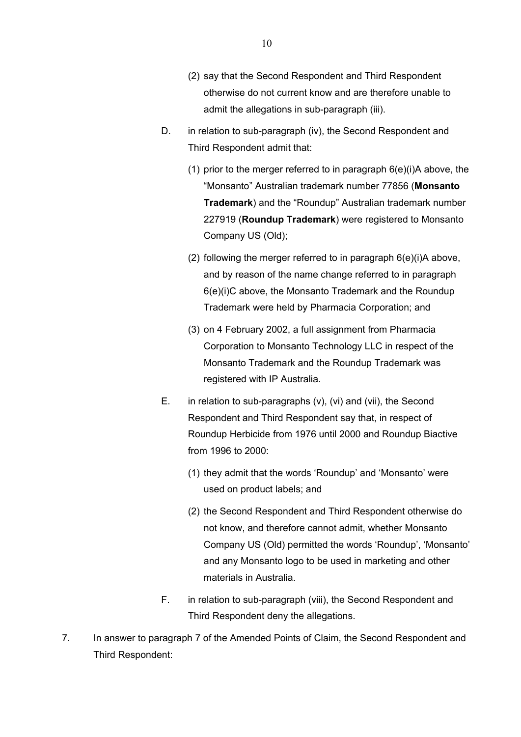- (2) say that the Second Respondent and Third Respondent otherwise do not current know and are therefore unable to admit the allegations in sub-paragraph (iii).
- D. in relation to sub-paragraph (iv), the Second Respondent and Third Respondent admit that:
	- (1) prior to the merger referred to in paragraph  $6(e)(i)A$  above, the "Monsanto" Australian trademark number 77856 (**Monsanto Trademark**) and the "Roundup" Australian trademark number 227919 (**Roundup Trademark**) were registered to Monsanto Company US (Old);
	- (2) following the merger referred to in paragraph  $6(e)(i)A$  above, and by reason of the name change referred to in paragraph 6(e)(i)C above, the Monsanto Trademark and the Roundup Trademark were held by Pharmacia Corporation; and
	- (3) on 4 February 2002, a full assignment from Pharmacia Corporation to Monsanto Technology LLC in respect of the Monsanto Trademark and the Roundup Trademark was registered with IP Australia.
- E. in relation to sub-paragraphs (v), (vi) and (vii), the Second Respondent and Third Respondent say that, in respect of Roundup Herbicide from 1976 until 2000 and Roundup Biactive from 1996 to 2000:
	- (1) they admit that the words 'Roundup' and 'Monsanto' were used on product labels; and
	- (2) the Second Respondent and Third Respondent otherwise do not know, and therefore cannot admit, whether Monsanto Company US (Old) permitted the words 'Roundup', 'Monsanto' and any Monsanto logo to be used in marketing and other materials in Australia.
- F. in relation to sub-paragraph (viii), the Second Respondent and Third Respondent deny the allegations.
- 7. In answer to paragraph 7 of the Amended Points of Claim, the Second Respondent and Third Respondent: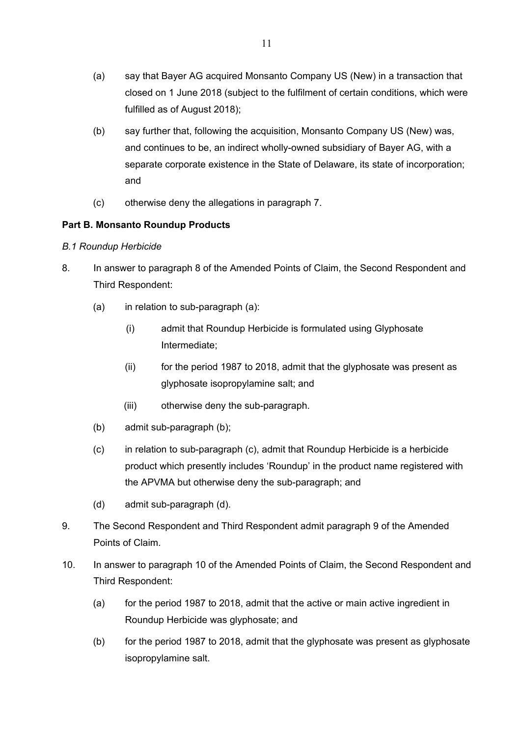- (a) say that Bayer AG acquired Monsanto Company US (New) in a transaction that closed on 1 June 2018 (subject to the fulfilment of certain conditions, which were fulfilled as of August 2018);
- (b) say further that, following the acquisition, Monsanto Company US (New) was, and continues to be, an indirect wholly-owned subsidiary of Bayer AG, with a separate corporate existence in the State of Delaware, its state of incorporation; and
- (c) otherwise deny the allegations in paragraph 7.

## **Part B. Monsanto Roundup Products**

### *B.1 Roundup Herbicide*

- 8. In answer to paragraph 8 of the Amended Points of Claim, the Second Respondent and Third Respondent:
	- (a) in relation to sub-paragraph (a):
		- (i) admit that Roundup Herbicide is formulated using Glyphosate Intermediate;
		- $(i)$  for the period 1987 to 2018, admit that the glyphosate was present as glyphosate isopropylamine salt; and
		- (iii) otherwise deny the sub-paragraph.
	- (b) admit sub-paragraph (b);
	- (c) in relation to sub-paragraph (c), admit that Roundup Herbicide is a herbicide product which presently includes 'Roundup' in the product name registered with the APVMA but otherwise deny the sub-paragraph; and
	- (d) admit sub-paragraph (d).
- 9. The Second Respondent and Third Respondent admit paragraph 9 of the Amended Points of Claim.
- 10. In answer to paragraph 10 of the Amended Points of Claim, the Second Respondent and Third Respondent:
	- (a) for the period 1987 to 2018, admit that the active or main active ingredient in Roundup Herbicide was glyphosate; and
	- (b) for the period 1987 to 2018, admit that the glyphosate was present as glyphosate isopropylamine salt.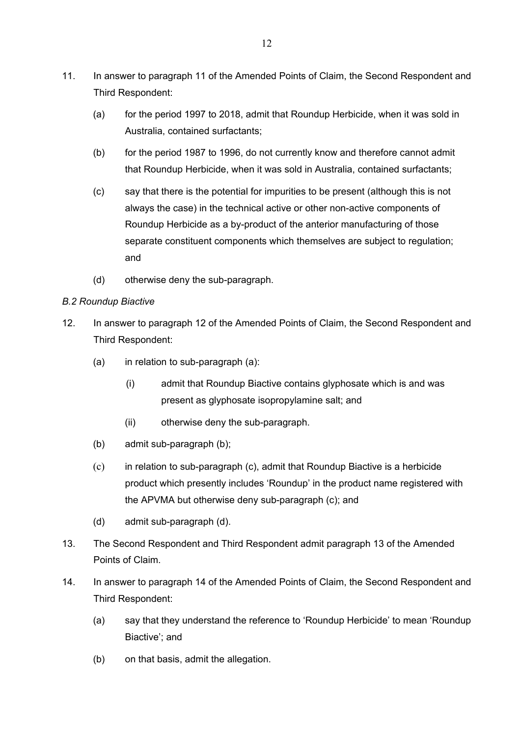- 11. In answer to paragraph 11 of the Amended Points of Claim, the Second Respondent and Third Respondent:
	- (a) for the period 1997 to 2018, admit that Roundup Herbicide, when it was sold in Australia, contained surfactants;
	- (b) for the period 1987 to 1996, do not currently know and therefore cannot admit that Roundup Herbicide, when it was sold in Australia, contained surfactants;
	- (c) say that there is the potential for impurities to be present (although this is not always the case) in the technical active or other non-active components of Roundup Herbicide as a by-product of the anterior manufacturing of those separate constituent components which themselves are subject to regulation; and
	- (d) otherwise deny the sub-paragraph.

### *B.2 Roundup Biactive*

- 12. In answer to paragraph 12 of the Amended Points of Claim, the Second Respondent and Third Respondent:
	- (a) in relation to sub-paragraph (a):
		- (i) admit that Roundup Biactive contains glyphosate which is and was present as glyphosate isopropylamine salt; and
		- (ii) otherwise deny the sub-paragraph.
	- (b) admit sub-paragraph (b);
	- (c) in relation to sub-paragraph (c), admit that Roundup Biactive is a herbicide product which presently includes 'Roundup' in the product name registered with the APVMA but otherwise deny sub-paragraph (c); and
	- (d) admit sub-paragraph (d).
- 13. The Second Respondent and Third Respondent admit paragraph 13 of the Amended Points of Claim.
- 14. In answer to paragraph 14 of the Amended Points of Claim, the Second Respondent and Third Respondent:
	- (a) say that they understand the reference to 'Roundup Herbicide' to mean 'Roundup Biactive'; and
	- (b) on that basis, admit the allegation.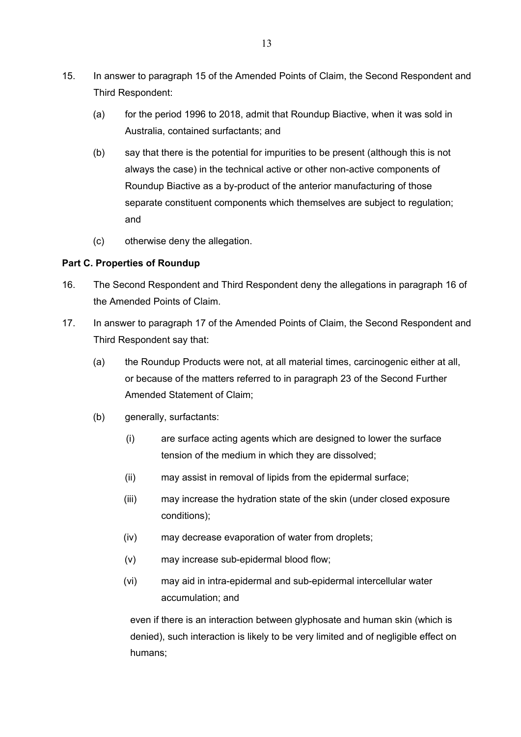- 15. In answer to paragraph 15 of the Amended Points of Claim, the Second Respondent and Third Respondent:
	- (a) for the period 1996 to 2018, admit that Roundup Biactive, when it was sold in Australia, contained surfactants; and
	- (b) say that there is the potential for impurities to be present (although this is not always the case) in the technical active or other non-active components of Roundup Biactive as a by-product of the anterior manufacturing of those separate constituent components which themselves are subject to regulation; and
	- (c) otherwise deny the allegation.

### **Part C. Properties of Roundup**

- 16. The Second Respondent and Third Respondent deny the allegations in paragraph 16 of the Amended Points of Claim.
- 17. In answer to paragraph 17 of the Amended Points of Claim, the Second Respondent and Third Respondent say that:
	- (a) the Roundup Products were not, at all material times, carcinogenic either at all, or because of the matters referred to in paragraph 23 of the Second Further Amended Statement of Claim;
	- (b) generally, surfactants:
		- (i) are surface acting agents which are designed to lower the surface tension of the medium in which they are dissolved;
		- (ii) may assist in removal of lipids from the epidermal surface;
		- (iii) may increase the hydration state of the skin (under closed exposure conditions);
		- (iv) may decrease evaporation of water from droplets;
		- (v) may increase sub-epidermal blood flow;
		- (vi) may aid in intra-epidermal and sub-epidermal intercellular water accumulation; and

even if there is an interaction between glyphosate and human skin (which is denied), such interaction is likely to be very limited and of negligible effect on humans;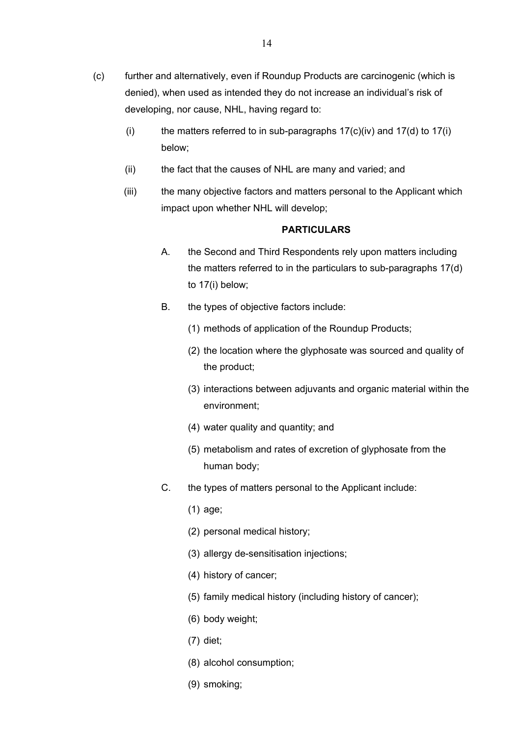- (i) the matters referred to in sub-paragraphs  $17(c)(iv)$  and  $17(d)$  to  $17(i)$ below;
- (ii) the fact that the causes of NHL are many and varied; and
- (iii) the many objective factors and matters personal to the Applicant which impact upon whether NHL will develop;

- A. the Second and Third Respondents rely upon matters including the matters referred to in the particulars to sub-paragraphs 17(d) to 17(i) below;
- B. the types of objective factors include:
	- (1) methods of application of the Roundup Products;
	- (2) the location where the glyphosate was sourced and quality of the product;
	- (3) interactions between adjuvants and organic material within the environment;
	- (4) water quality and quantity; and
	- (5) metabolism and rates of excretion of glyphosate from the human body;
- C. the types of matters personal to the Applicant include:
	- (1) age;
	- (2) personal medical history;
	- (3) allergy de-sensitisation injections;
	- (4) history of cancer;
	- (5) family medical history (including history of cancer);
	- (6) body weight;
	- (7) diet;
	- (8) alcohol consumption;
	- (9) smoking;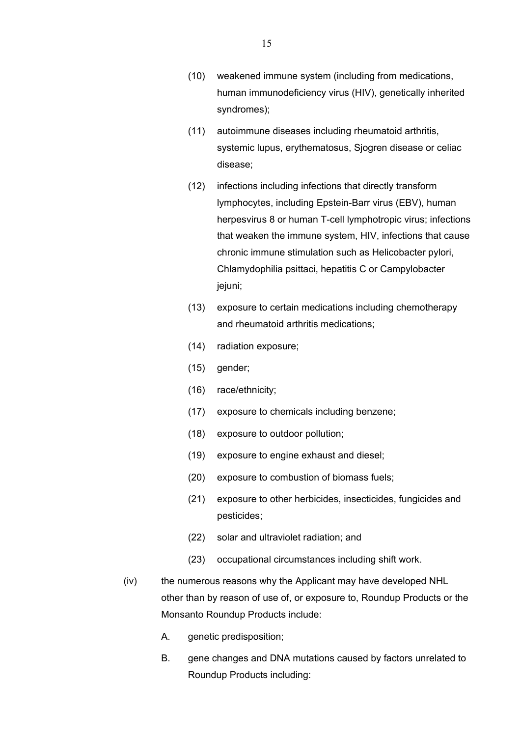- (10) weakened immune system (including from medications, human immunodeficiency virus (HIV), genetically inherited syndromes);
- (11) autoimmune diseases including rheumatoid arthritis, systemic lupus, erythematosus, Sjogren disease or celiac disease;
- (12) infections including infections that directly transform lymphocytes, including Epstein-Barr virus (EBV), human herpesvirus 8 or human T-cell lymphotropic virus; infections that weaken the immune system, HIV, infections that cause chronic immune stimulation such as Helicobacter pylori, Chlamydophilia psittaci, hepatitis C or Campylobacter jejuni;
- (13) exposure to certain medications including chemotherapy and rheumatoid arthritis medications;
- (14) radiation exposure;
- (15) gender;
- (16) race/ethnicity;
- (17) exposure to chemicals including benzene;
- (18) exposure to outdoor pollution;
- (19) exposure to engine exhaust and diesel;
- (20) exposure to combustion of biomass fuels;
- (21) exposure to other herbicides, insecticides, fungicides and pesticides;
- (22) solar and ultraviolet radiation; and
- (23) occupational circumstances including shift work.
- (iv) the numerous reasons why the Applicant may have developed NHL other than by reason of use of, or exposure to, Roundup Products or the Monsanto Roundup Products include:
	- A. genetic predisposition;
	- B. gene changes and DNA mutations caused by factors unrelated to Roundup Products including: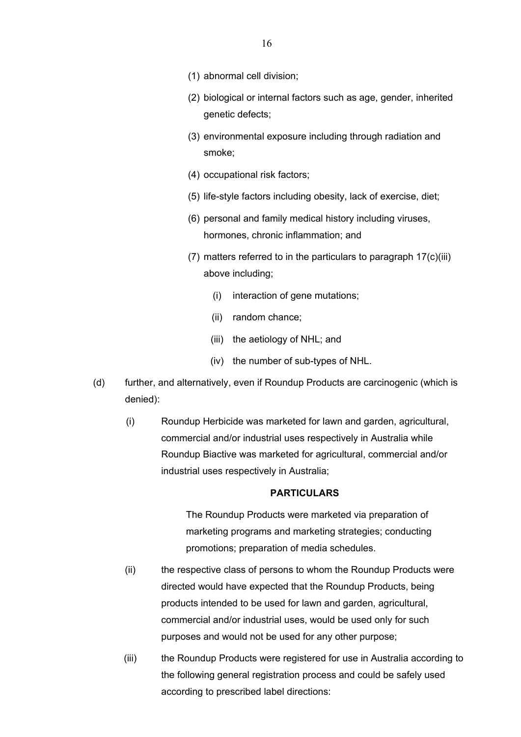- (1) abnormal cell division;
- (2) biological or internal factors such as age, gender, inherited genetic defects;
- (3) environmental exposure including through radiation and smoke;
- (4) occupational risk factors;
- (5) life-style factors including obesity, lack of exercise, diet;
- (6) personal and family medical history including viruses, hormones, chronic inflammation; and
- (7) matters referred to in the particulars to paragraph 17(c)(iii) above including;
	- (i) interaction of gene mutations;
	- (ii) random chance;
	- (iii) the aetiology of NHL; and
	- (iv) the number of sub-types of NHL.
- (d) further, and alternatively, even if Roundup Products are carcinogenic (which is denied):
	- (i) Roundup Herbicide was marketed for lawn and garden, agricultural, commercial and/or industrial uses respectively in Australia while Roundup Biactive was marketed for agricultural, commercial and/or industrial uses respectively in Australia;

The Roundup Products were marketed via preparation of marketing programs and marketing strategies; conducting promotions; preparation of media schedules.

- (ii) the respective class of persons to whom the Roundup Products were directed would have expected that the Roundup Products, being products intended to be used for lawn and garden, agricultural, commercial and/or industrial uses, would be used only for such purposes and would not be used for any other purpose;
- (iii) the Roundup Products were registered for use in Australia according to the following general registration process and could be safely used according to prescribed label directions: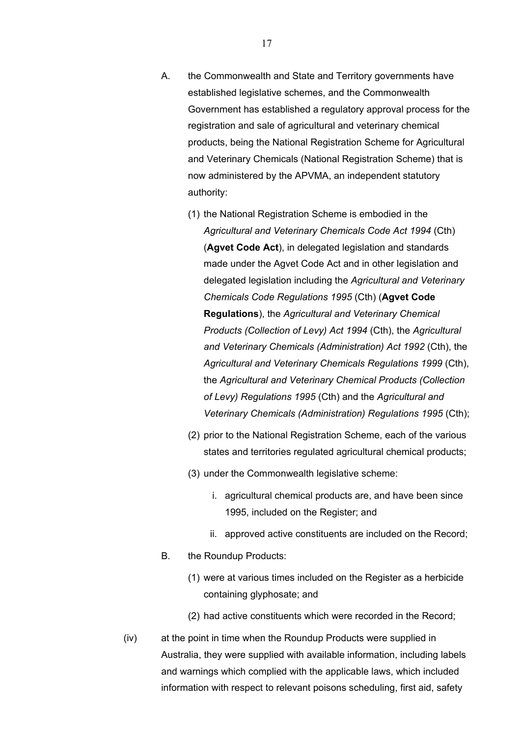- A. the Commonwealth and State and Territory governments have established legislative schemes, and the Commonwealth Government has established a regulatory approval process for the registration and sale of agricultural and veterinary chemical products, being the National Registration Scheme for Agricultural and Veterinary Chemicals (National Registration Scheme) that is now administered by the APVMA, an independent statutory authority:
	- (1) the National Registration Scheme is embodied in the *Agricultural and Veterinary Chemicals Code Act 1994* (Cth) (**Agvet Code Act**), in delegated legislation and standards made under the Agvet Code Act and in other legislation and delegated legislation including the *Agricultural and Veterinary Chemicals Code Regulations 1995* (Cth) (**Agvet Code Regulations**), the *Agricultural and Veterinary Chemical Products (Collection of Levy) Act 1994* (Cth), the *Agricultural and Veterinary Chemicals (Administration) Act 1992* (Cth), the *Agricultural and Veterinary Chemicals Regulations 1999* (Cth), the *Agricultural and Veterinary Chemical Products (Collection of Levy) Regulations 1995* (Cth) and the *Agricultural and Veterinary Chemicals (Administration) Regulations 1995* (Cth);
	- (2) prior to the National Registration Scheme, each of the various states and territories regulated agricultural chemical products;
	- (3) under the Commonwealth legislative scheme:
		- i. agricultural chemical products are, and have been since 1995, included on the Register; and
		- ii. approved active constituents are included on the Record;
- B. the Roundup Products:
	- (1) were at various times included on the Register as a herbicide containing glyphosate; and
	- (2) had active constituents which were recorded in the Record;
- (iv) at the point in time when the Roundup Products were supplied in Australia, they were supplied with available information, including labels and warnings which complied with the applicable laws, which included information with respect to relevant poisons scheduling, first aid, safety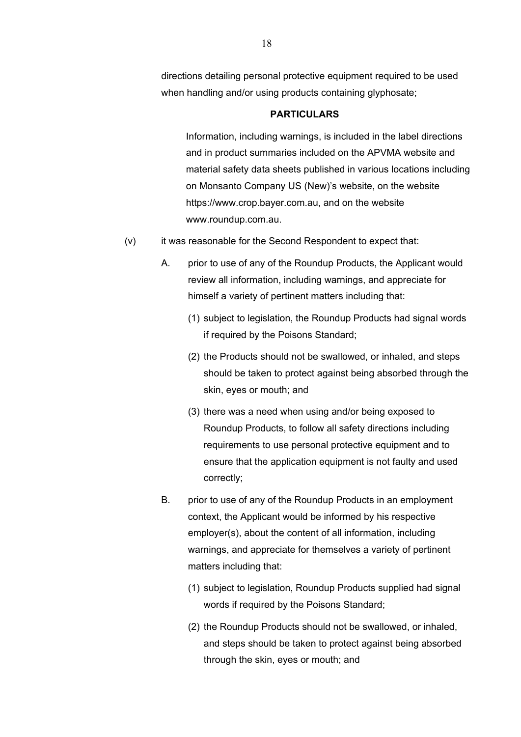directions detailing personal protective equipment required to be used when handling and/or using products containing glyphosate;

#### **PARTICULARS**

Information, including warnings, is included in the label directions and in product summaries included on the APVMA website and material safety data sheets published in various locations including on Monsanto Company US (New)'s website, on the website https://www.crop.bayer.com.au, and on the website www.roundup.com.au.

- (v) it was reasonable for the Second Respondent to expect that:
	- A. prior to use of any of the Roundup Products, the Applicant would review all information, including warnings, and appreciate for himself a variety of pertinent matters including that:
		- (1) subject to legislation, the Roundup Products had signal words if required by the Poisons Standard;
		- (2) the Products should not be swallowed, or inhaled, and steps should be taken to protect against being absorbed through the skin, eyes or mouth; and
		- (3) there was a need when using and/or being exposed to Roundup Products, to follow all safety directions including requirements to use personal protective equipment and to ensure that the application equipment is not faulty and used correctly;
	- B. prior to use of any of the Roundup Products in an employment context, the Applicant would be informed by his respective employer(s), about the content of all information, including warnings, and appreciate for themselves a variety of pertinent matters including that:
		- (1) subject to legislation, Roundup Products supplied had signal words if required by the Poisons Standard;
		- (2) the Roundup Products should not be swallowed, or inhaled, and steps should be taken to protect against being absorbed through the skin, eyes or mouth; and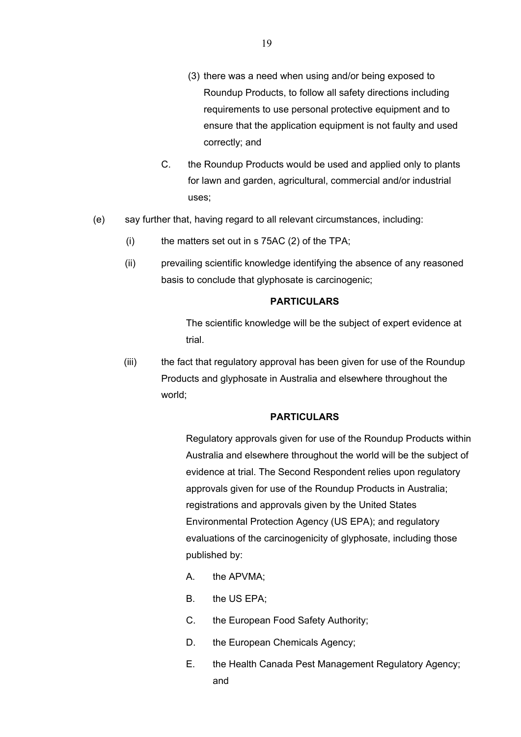- (3) there was a need when using and/or being exposed to Roundup Products, to follow all safety directions including requirements to use personal protective equipment and to ensure that the application equipment is not faulty and used correctly; and
- C. the Roundup Products would be used and applied only to plants for lawn and garden, agricultural, commercial and/or industrial uses;
- (e) say further that, having regard to all relevant circumstances, including:
	- $(i)$  the matters set out in s 75AC (2) of the TPA;
	- (ii) prevailing scientific knowledge identifying the absence of any reasoned basis to conclude that glyphosate is carcinogenic;

The scientific knowledge will be the subject of expert evidence at trial.

(iii) the fact that regulatory approval has been given for use of the Roundup Products and glyphosate in Australia and elsewhere throughout the world;

#### **PARTICULARS**

Regulatory approvals given for use of the Roundup Products within Australia and elsewhere throughout the world will be the subject of evidence at trial. The Second Respondent relies upon regulatory approvals given for use of the Roundup Products in Australia; registrations and approvals given by the United States Environmental Protection Agency (US EPA); and regulatory evaluations of the carcinogenicity of glyphosate, including those published by:

- A. the APVMA;
- B. the US EPA;
- C. the European Food Safety Authority;
- D. the European Chemicals Agency;
- E. the Health Canada Pest Management Regulatory Agency; and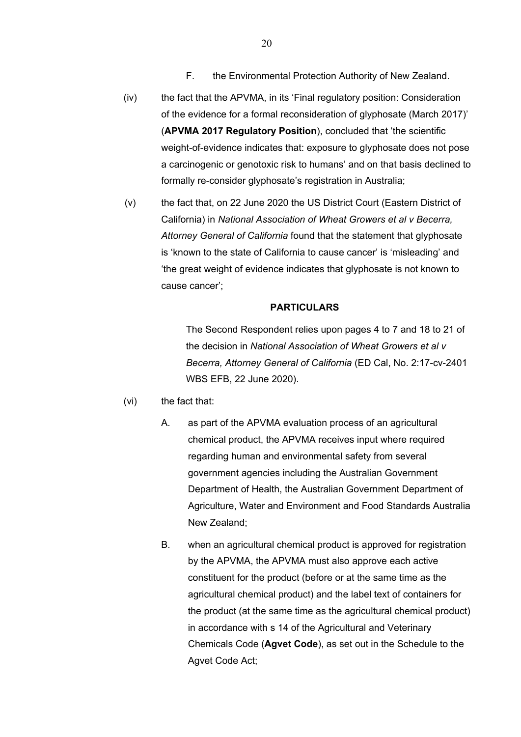- F. the Environmental Protection Authority of New Zealand.
- (iv) the fact that the APVMA, in its 'Final regulatory position: Consideration of the evidence for a formal reconsideration of glyphosate (March 2017)' (**APVMA 2017 Regulatory Position**), concluded that 'the scientific weight-of-evidence indicates that: exposure to glyphosate does not pose a carcinogenic or genotoxic risk to humans' and on that basis declined to formally re-consider glyphosate's registration in Australia;
- (v) the fact that, on 22 June 2020 the US District Court (Eastern District of California) in *National Association of Wheat Growers et al v Becerra, Attorney General of California* found that the statement that glyphosate is 'known to the state of California to cause cancer' is 'misleading' and 'the great weight of evidence indicates that glyphosate is not known to cause cancer';

The Second Respondent relies upon pages 4 to 7 and 18 to 21 of the decision in *National Association of Wheat Growers et al v Becerra, Attorney General of California* (ED Cal, No. 2:17-cv-2401 WBS EFB, 22 June 2020).

#### (vi) the fact that:

- A. as part of the APVMA evaluation process of an agricultural chemical product, the APVMA receives input where required regarding human and environmental safety from several government agencies including the Australian Government Department of Health, the Australian Government Department of Agriculture, Water and Environment and Food Standards Australia New Zealand;
- B. when an agricultural chemical product is approved for registration by the APVMA, the APVMA must also approve each active constituent for the product (before or at the same time as the agricultural chemical product) and the label text of containers for the product (at the same time as the agricultural chemical product) in accordance with s 14 of the Agricultural and Veterinary Chemicals Code (**Agvet Code**), as set out in the Schedule to the Agvet Code Act;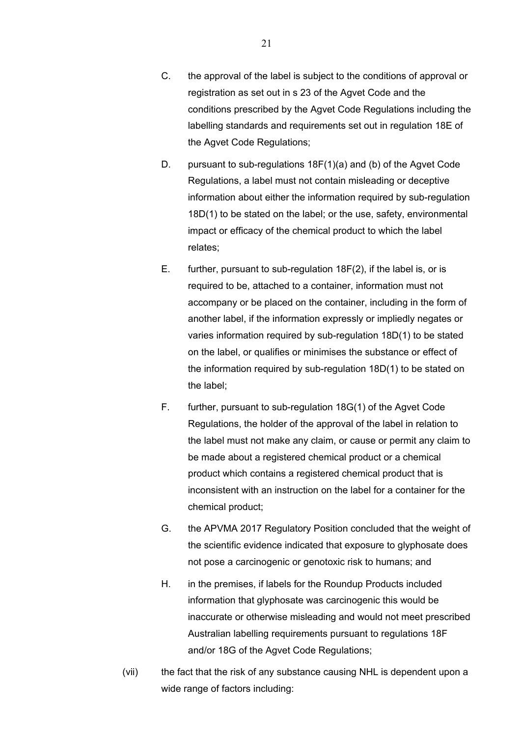- C. the approval of the label is subject to the conditions of approval or registration as set out in s 23 of the Agvet Code and the conditions prescribed by the Agvet Code Regulations including the labelling standards and requirements set out in regulation 18E of the Agvet Code Regulations;
- D. pursuant to sub-regulations 18F(1)(a) and (b) of the Agvet Code Regulations, a label must not contain misleading or deceptive information about either the information required by sub-regulation 18D(1) to be stated on the label; or the use, safety, environmental impact or efficacy of the chemical product to which the label relates;
- E. further, pursuant to sub-regulation 18F(2), if the label is, or is required to be, attached to a container, information must not accompany or be placed on the container, including in the form of another label, if the information expressly or impliedly negates or varies information required by sub-regulation 18D(1) to be stated on the label, or qualifies or minimises the substance or effect of the information required by sub-regulation 18D(1) to be stated on the label;
- F. further, pursuant to sub-regulation 18G(1) of the Agvet Code Regulations, the holder of the approval of the label in relation to the label must not make any claim, or cause or permit any claim to be made about a registered chemical product or a chemical product which contains a registered chemical product that is inconsistent with an instruction on the label for a container for the chemical product;
- G. the APVMA 2017 Regulatory Position concluded that the weight of the scientific evidence indicated that exposure to glyphosate does not pose a carcinogenic or genotoxic risk to humans; and
- H. in the premises, if labels for the Roundup Products included information that glyphosate was carcinogenic this would be inaccurate or otherwise misleading and would not meet prescribed Australian labelling requirements pursuant to regulations 18F and/or 18G of the Agvet Code Regulations;
- (vii) the fact that the risk of any substance causing NHL is dependent upon a wide range of factors including: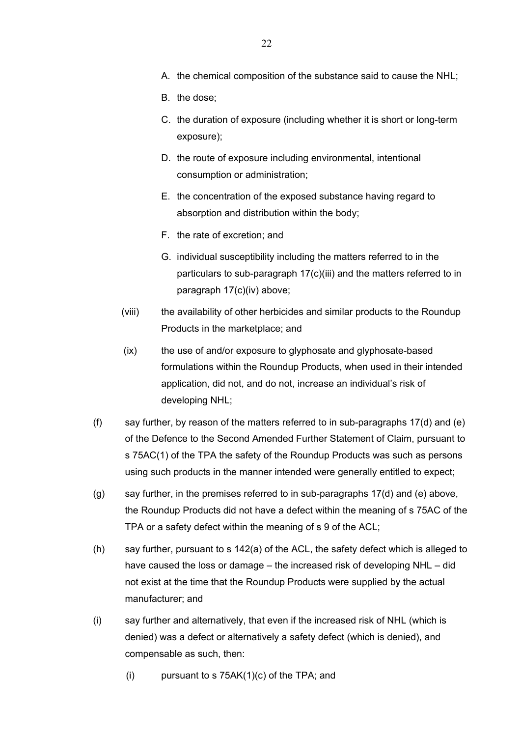- A. the chemical composition of the substance said to cause the NHL;
- B. the dose;
- C. the duration of exposure (including whether it is short or long-term exposure);
- D. the route of exposure including environmental, intentional consumption or administration;
- E. the concentration of the exposed substance having regard to absorption and distribution within the body;
- F. the rate of excretion; and
- G. individual susceptibility including the matters referred to in the particulars to sub-paragraph 17(c)(iii) and the matters referred to in paragraph 17(c)(iv) above;
- (viii) the availability of other herbicides and similar products to the Roundup Products in the marketplace; and
- (ix) the use of and/or exposure to glyphosate and glyphosate-based formulations within the Roundup Products, when used in their intended application, did not, and do not, increase an individual's risk of developing NHL;
- (f) say further, by reason of the matters referred to in sub-paragraphs  $17(d)$  and (e) of the Defence to the Second Amended Further Statement of Claim, pursuant to s 75AC(1) of the TPA the safety of the Roundup Products was such as persons using such products in the manner intended were generally entitled to expect;
- $(g)$  say further, in the premises referred to in sub-paragraphs 17(d) and (e) above, the Roundup Products did not have a defect within the meaning of s 75AC of the TPA or a safety defect within the meaning of s 9 of the ACL;
- (h) say further, pursuant to s 142(a) of the ACL, the safety defect which is alleged to have caused the loss or damage – the increased risk of developing NHL – did not exist at the time that the Roundup Products were supplied by the actual manufacturer; and
- (i) say further and alternatively, that even if the increased risk of NHL (which is denied) was a defect or alternatively a safety defect (which is denied), and compensable as such, then:
	- (i) pursuant to s  $75AK(1)(c)$  of the TPA; and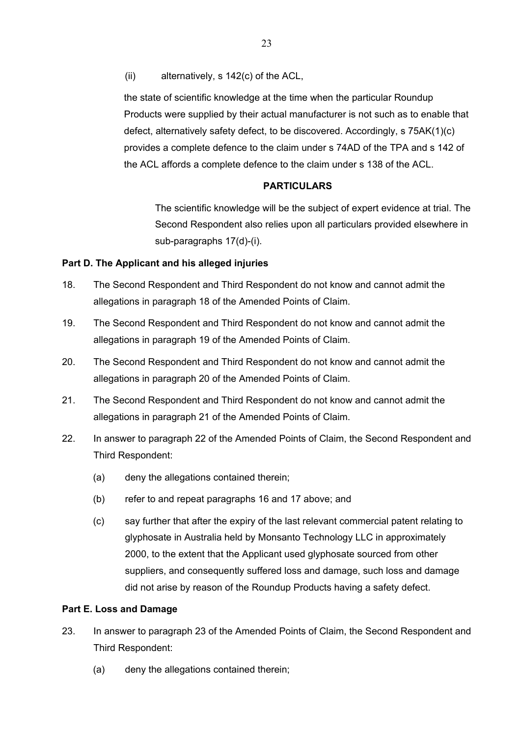(ii) alternatively, s 142(c) of the ACL,

the state of scientific knowledge at the time when the particular Roundup Products were supplied by their actual manufacturer is not such as to enable that defect, alternatively safety defect, to be discovered. Accordingly, s 75AK(1)(c) provides a complete defence to the claim under s 74AD of the TPA and s 142 of the ACL affords a complete defence to the claim under s 138 of the ACL.

## **PARTICULARS**

The scientific knowledge will be the subject of expert evidence at trial. The Second Respondent also relies upon all particulars provided elsewhere in sub-paragraphs 17(d)-(i).

### **Part D. The Applicant and his alleged injuries**

- 18. The Second Respondent and Third Respondent do not know and cannot admit the allegations in paragraph 18 of the Amended Points of Claim.
- 19. The Second Respondent and Third Respondent do not know and cannot admit the allegations in paragraph 19 of the Amended Points of Claim.
- 20. The Second Respondent and Third Respondent do not know and cannot admit the allegations in paragraph 20 of the Amended Points of Claim.
- 21. The Second Respondent and Third Respondent do not know and cannot admit the allegations in paragraph 21 of the Amended Points of Claim.
- 22. In answer to paragraph 22 of the Amended Points of Claim, the Second Respondent and Third Respondent:
	- (a) deny the allegations contained therein;
	- (b) refer to and repeat paragraphs 16 and 17 above; and
	- (c) say further that after the expiry of the last relevant commercial patent relating to glyphosate in Australia held by Monsanto Technology LLC in approximately 2000, to the extent that the Applicant used glyphosate sourced from other suppliers, and consequently suffered loss and damage, such loss and damage did not arise by reason of the Roundup Products having a safety defect.

### **Part E. Loss and Damage**

- 23. In answer to paragraph 23 of the Amended Points of Claim, the Second Respondent and Third Respondent:
	- (a) deny the allegations contained therein;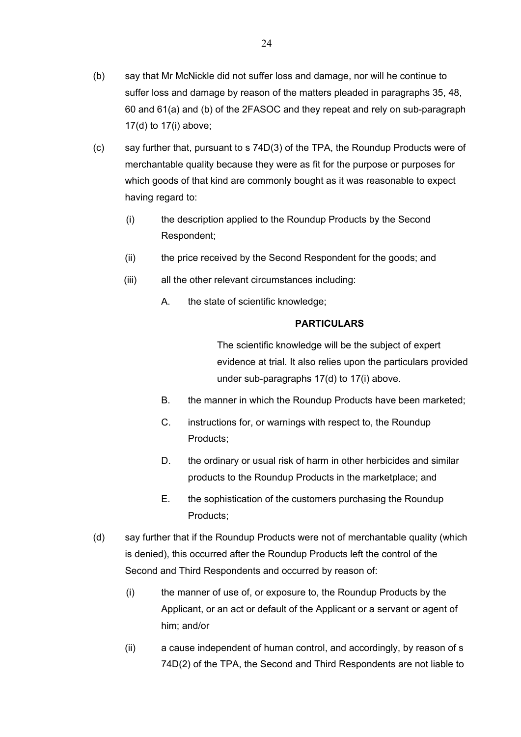- (b) say that Mr McNickle did not suffer loss and damage, nor will he continue to suffer loss and damage by reason of the matters pleaded in paragraphs 35, 48, 60 and 61(a) and (b) of the 2FASOC and they repeat and rely on sub-paragraph 17(d) to 17(i) above;
- (c) say further that, pursuant to s 74D(3) of the TPA, the Roundup Products were of merchantable quality because they were as fit for the purpose or purposes for which goods of that kind are commonly bought as it was reasonable to expect having regard to:
	- (i) the description applied to the Roundup Products by the Second Respondent;
	- (ii) the price received by the Second Respondent for the goods; and
	- (iii) all the other relevant circumstances including:
		- A. the state of scientific knowledge;

The scientific knowledge will be the subject of expert evidence at trial. It also relies upon the particulars provided under sub-paragraphs 17(d) to 17(i) above.

- B. the manner in which the Roundup Products have been marketed;
- C. instructions for, or warnings with respect to, the Roundup Products;
- D. the ordinary or usual risk of harm in other herbicides and similar products to the Roundup Products in the marketplace; and
- E. the sophistication of the customers purchasing the Roundup Products;
- (d) say further that if the Roundup Products were not of merchantable quality (which is denied), this occurred after the Roundup Products left the control of the Second and Third Respondents and occurred by reason of:
	- (i) the manner of use of, or exposure to, the Roundup Products by the Applicant, or an act or default of the Applicant or a servant or agent of him; and/or
	- (ii) a cause independent of human control, and accordingly, by reason of s 74D(2) of the TPA, the Second and Third Respondents are not liable to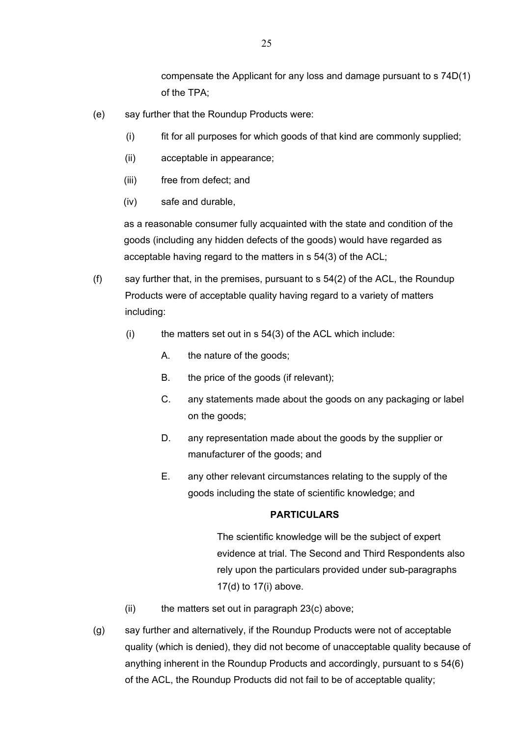compensate the Applicant for any loss and damage pursuant to s 74D(1) of the TPA;

- (e) say further that the Roundup Products were:
	- (i) fit for all purposes for which goods of that kind are commonly supplied;
	- (ii) acceptable in appearance;
	- (iii) free from defect; and
	- (iv) safe and durable,

as a reasonable consumer fully acquainted with the state and condition of the goods (including any hidden defects of the goods) would have regarded as acceptable having regard to the matters in s 54(3) of the ACL;

- (f) say further that, in the premises, pursuant to s  $54(2)$  of the ACL, the Roundup Products were of acceptable quality having regard to a variety of matters including:
	- $(i)$  the matters set out in s 54(3) of the ACL which include:
		- A. the nature of the goods;
		- B. the price of the goods (if relevant);
		- C. any statements made about the goods on any packaging or label on the goods;
		- D. any representation made about the goods by the supplier or manufacturer of the goods; and
		- E. any other relevant circumstances relating to the supply of the goods including the state of scientific knowledge; and

### **PARTICULARS**

The scientific knowledge will be the subject of expert evidence at trial. The Second and Third Respondents also rely upon the particulars provided under sub-paragraphs 17(d) to 17(i) above.

- $(ii)$  the matters set out in paragraph 23 $(c)$  above;
- (g) say further and alternatively, if the Roundup Products were not of acceptable quality (which is denied), they did not become of unacceptable quality because of anything inherent in the Roundup Products and accordingly, pursuant to s 54(6) of the ACL, the Roundup Products did not fail to be of acceptable quality;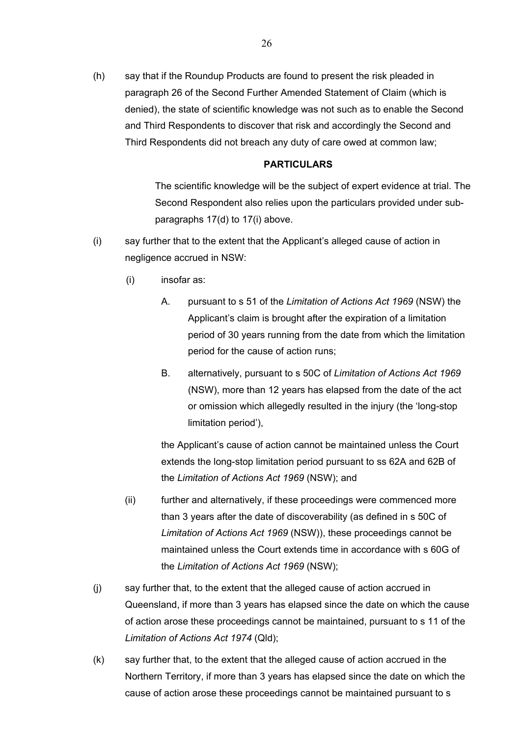(h) say that if the Roundup Products are found to present the risk pleaded in paragraph 26 of the Second Further Amended Statement of Claim (which is denied), the state of scientific knowledge was not such as to enable the Second and Third Respondents to discover that risk and accordingly the Second and Third Respondents did not breach any duty of care owed at common law;

#### **PARTICULARS**

The scientific knowledge will be the subject of expert evidence at trial. The Second Respondent also relies upon the particulars provided under subparagraphs 17(d) to 17(i) above.

- (i) say further that to the extent that the Applicant's alleged cause of action in negligence accrued in NSW:
	- (i) insofar as:
		- A. pursuant to s 51 of the *Limitation of Actions Act 1969* (NSW) the Applicant's claim is brought after the expiration of a limitation period of 30 years running from the date from which the limitation period for the cause of action runs;
		- B. alternatively, pursuant to s 50C of *Limitation of Actions Act 1969* (NSW), more than 12 years has elapsed from the date of the act or omission which allegedly resulted in the injury (the 'long-stop limitation period'),

the Applicant's cause of action cannot be maintained unless the Court extends the long-stop limitation period pursuant to ss 62A and 62B of the *Limitation of Actions Act 1969* (NSW); and

- (ii) further and alternatively, if these proceedings were commenced more than 3 years after the date of discoverability (as defined in s 50C of *Limitation of Actions Act 1969* (NSW)), these proceedings cannot be maintained unless the Court extends time in accordance with s 60G of the *Limitation of Actions Act 1969* (NSW);
- (j) say further that, to the extent that the alleged cause of action accrued in Queensland, if more than 3 years has elapsed since the date on which the cause of action arose these proceedings cannot be maintained, pursuant to s 11 of the *Limitation of Actions Act 1974* (Qld);
- (k) say further that, to the extent that the alleged cause of action accrued in the Northern Territory, if more than 3 years has elapsed since the date on which the cause of action arose these proceedings cannot be maintained pursuant to s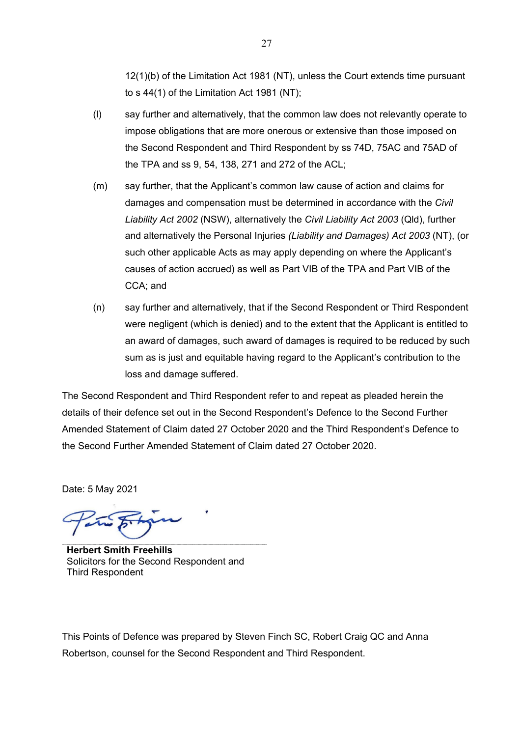12(1)(b) of the Limitation Act 1981 (NT), unless the Court extends time pursuant to s 44(1) of the Limitation Act 1981 (NT);

- (l) say further and alternatively, that the common law does not relevantly operate to impose obligations that are more onerous or extensive than those imposed on the Second Respondent and Third Respondent by ss 74D, 75AC and 75AD of the TPA and ss 9, 54, 138, 271 and 272 of the ACL;
- (m) say further, that the Applicant's common law cause of action and claims for damages and compensation must be determined in accordance with the *Civil Liability Act 2002* (NSW), alternatively the *Civil Liability Act 2003* (Qld), further and alternatively the Personal Injuries *(Liability and Damages) Act 2003* (NT), (or such other applicable Acts as may apply depending on where the Applicant's causes of action accrued) as well as Part VIB of the TPA and Part VIB of the CCA; and
- (n) say further and alternatively, that if the Second Respondent or Third Respondent were negligent (which is denied) and to the extent that the Applicant is entitled to an award of damages, such award of damages is required to be reduced by such sum as is just and equitable having regard to the Applicant's contribution to the loss and damage suffered.

The Second Respondent and Third Respondent refer to and repeat as pleaded herein the details of their defence set out in the Second Respondent's Defence to the Second Further Amended Statement of Claim dated 27 October 2020 and the Third Respondent's Defence to the Second Further Amended Statement of Claim dated 27 October 2020.

Date: 5 May 2021

**Herbert Smith Freehills** Solicitors for the Second Respondent and Third Respondent

This Points of Defence was prepared by Steven Finch SC, Robert Craig QC and Anna Robertson, counsel for the Second Respondent and Third Respondent.